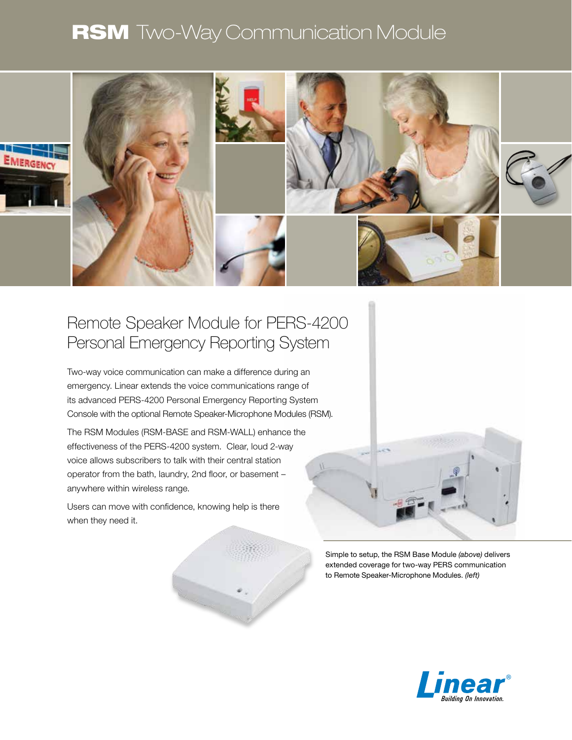# **RSM** Two-Way Communication Module



### Remote Speaker Module for PERS-4200 Personal Emergency Reporting System

Two-way voice communication can make a difference during an emergency. Linear extends the voice communications range of its advanced PERS-4200 Personal Emergency Reporting System Console with the optional Remote Speaker-Microphone Modules (RSM).

The RSM Modules (RSM-BASE and RSM-WALL) enhance the effectiveness of the PERS-4200 system. Clear, loud 2-way voice allows subscribers to talk with their central station operator from the bath, laundry, 2nd floor, or basement – anywhere within wireless range.

Users can move with confidence, knowing help is there when they need it.



Simple to setup, the RSM Base Module *(above)* delivers extended coverage for two-way PERS communication to Remote Speaker-Microphone Modules. *(left)*